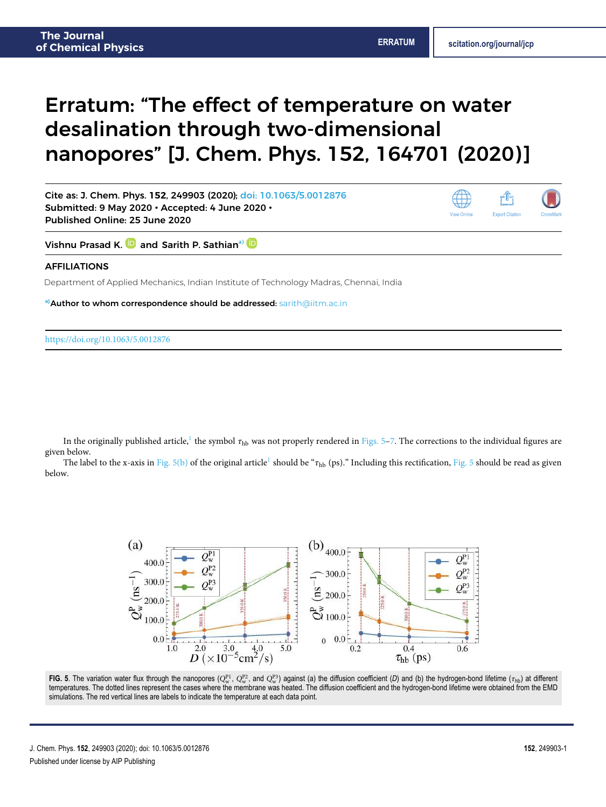## Erratum: "The effect of temperature on water desalination through two-dimensional nanopores" [J. Chem. Phys. 152, 164701 (2020)]

Cite as: J. Chem. Phys. **152**, 249903 (2020); doi: 10.1063/5.0012876 Submitted: 9 May 2020 • Accepted: 4 June 2020 • Published Online: 25 June 2020



Vishnu Prasad K. **D** and Sarith P. Sathian<sup>a)</sup> D

## AFFILIATIONS

Department of Applied Mechanics, Indian Institute of Technology Madras, Chennai, India

**a)**Author to whom correspondence should be addressed: sarith@iitm.ac.in

## https://doi.org/10.1063/5.0012876.,

In the originally published article, $^1$  the symbol  $\tau_{\rm hb}$  was not properly rendered in Figs. 5–7. The corrections to the individual figures are given below.

The label to the x-axis in Fig. 5(b) of the original article<sup>1</sup> should be "τ<sub>hb</sub> (ps)." Including this rectification, Fig. 5 should be read as given below.



FIG. 5. The variation water flux through the nanopores ( $Q_w^{P1}$ ,  $Q_w^{P2}$ , and  $Q_w^{P3}$ ) against (a) the diffusion coefficient (D) and (b) the hydrogen-bond lifetime ( $\tau_{\text{hb}}$ ) at different temperatures. The dotted lines represent the cases where the membrane was heated. The diffusion coefficient and the hydrogen-bond lifetime were obtained from the EMD simulations. The red vertical lines are labels to indicate the temperature at each data point.